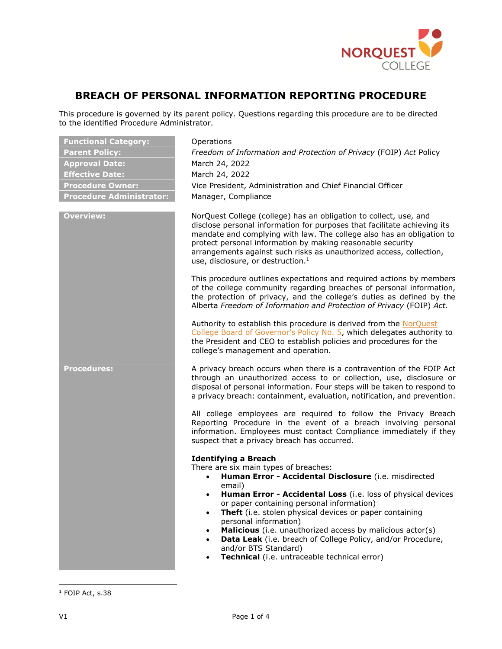

# **BREACH OF PERSONAL INFORMATION REPORTING PROCEDURE**

This procedure is governed by its parent policy. Questions regarding this procedure are to be directed to the identified Procedure Administrator.

| <b>Functional Category:</b><br><b>Parent Policy:</b><br><b>Approval Date:</b><br><b>Effective Date:</b><br><b>Procedure Owner:</b><br><b>Procedure Administrator:</b> | Operations<br>Freedom of Information and Protection of Privacy (FOIP) Act Policy<br>March 24, 2022<br>March 24, 2022<br>Vice President, Administration and Chief Financial Officer<br>Manager, Compliance                                                                                                                                                                                                                                                                                                                                                              |
|-----------------------------------------------------------------------------------------------------------------------------------------------------------------------|------------------------------------------------------------------------------------------------------------------------------------------------------------------------------------------------------------------------------------------------------------------------------------------------------------------------------------------------------------------------------------------------------------------------------------------------------------------------------------------------------------------------------------------------------------------------|
| <b>Overview:</b>                                                                                                                                                      | NorQuest College (college) has an obligation to collect, use, and<br>disclose personal information for purposes that facilitate achieving its<br>mandate and complying with law. The college also has an obligation to<br>protect personal information by making reasonable security<br>arrangements against such risks as unauthorized access, collection,<br>use, disclosure, or destruction. <sup>1</sup>                                                                                                                                                           |
|                                                                                                                                                                       | This procedure outlines expectations and required actions by members<br>of the college community regarding breaches of personal information,<br>the protection of privacy, and the college's duties as defined by the<br>Alberta Freedom of Information and Protection of Privacy (FOIP) Act.                                                                                                                                                                                                                                                                          |
|                                                                                                                                                                       | Authority to establish this procedure is derived from the NorQuest<br>College Board of Governor's Policy No. 5, which delegates authority to<br>the President and CEO to establish policies and procedures for the<br>college's management and operation.                                                                                                                                                                                                                                                                                                              |
| <b>Procedures:</b>                                                                                                                                                    | A privacy breach occurs when there is a contravention of the FOIP Act<br>through an unauthorized access to or collection, use, disclosure or<br>disposal of personal information. Four steps will be taken to respond to<br>a privacy breach: containment, evaluation, notification, and prevention.                                                                                                                                                                                                                                                                   |
|                                                                                                                                                                       | All college employees are required to follow the Privacy Breach<br>Reporting Procedure in the event of a breach involving personal<br>information. Employees must contact Compliance immediately if they<br>suspect that a privacy breach has occurred.                                                                                                                                                                                                                                                                                                                |
|                                                                                                                                                                       | <b>Identifying a Breach</b><br>There are six main types of breaches:<br>Human Error - Accidental Disclosure (i.e. misdirected<br>$\bullet$<br>email)<br>Human Error - Accidental Loss (i.e. loss of physical devices<br>$\bullet$<br>or paper containing personal information)<br>Theft (i.e. stolen physical devices or paper containing<br>personal information)<br>Malicious (i.e. unauthorized access by malicious actor(s)<br>Data Leak (i.e. breach of College Policy, and/or Procedure,<br>and/or BTS Standard)<br>Technical (i.e. untraceable technical error) |

 $\overline{\phantom{a}}$ 

 $1$  FOIP Act, s.38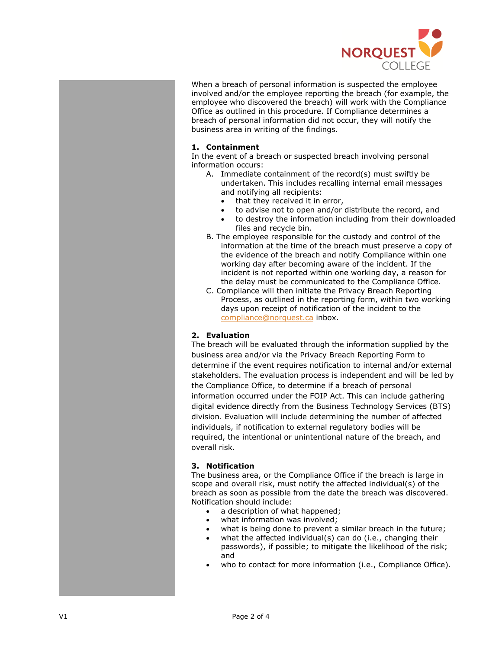

When a breach of personal information is suspected the employee involved and/or the employee reporting the breach (for example, the employee who discovered the breach) will work with the Compliance Office as outlined in this procedure. If Compliance determines a breach of personal information did not occur, they will notify the business area in writing of the findings.

## **1. Containment**

In the event of a breach or suspected breach involving personal information occurs:

- A. Immediate containment of the record(s) must swiftly be undertaken. This includes recalling internal email messages and notifying all recipients:
	- that they received it in error,
	- to advise not to open and/or distribute the record, and
	- to destroy the information including from their downloaded files and recycle bin.
- B. The employee responsible for the custody and control of the information at the time of the breach must preserve a copy of the evidence of the breach and notify Compliance within one working day after becoming aware of the incident. If the incident is not reported within one working day, a reason for the delay must be communicated to the Compliance Office.
- C. Compliance will then initiate the Privacy Breach Reporting Process, as outlined in the reporting form, within two working days upon receipt of notification of the incident to the [compliance@norquest.ca](mailto:compliance@norquest.ca) inbox.

## **2. Evaluation**

The breach will be evaluated through the information supplied by the business area and/or via the Privacy Breach Reporting Form to determine if the event requires notification to internal and/or external stakeholders. The evaluation process is independent and will be led by the Compliance Office, to determine if a breach of personal information occurred under the FOIP Act. This can include gathering digital evidence directly from the Business Technology Services (BTS) division. Evaluation will include determining the number of affected individuals, if notification to external regulatory bodies will be required, the intentional or unintentional nature of the breach, and overall risk.

## **3. Notification**

The business area, or the Compliance Office if the breach is large in scope and overall risk, must notify the affected individual(s) of the breach as soon as possible from the date the breach was discovered. Notification should include:

- a description of what happened;
- what information was involved:
- what is being done to prevent a similar breach in the future;
- what the affected individual(s) can do (i.e., changing their passwords), if possible; to mitigate the likelihood of the risk; and
- who to contact for more information (i.e., Compliance Office).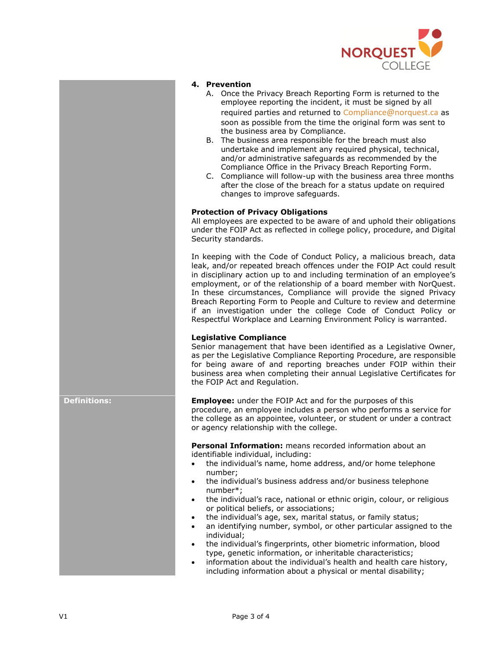

#### **4. Prevention**

- A. Once the Privacy Breach Reporting Form is returned to the employee reporting the incident, it must be signed by all required parties and returned to C[ompliance@norquest.ca](mailto:Compliance@norquest.ca) as soon as possible from the time the original form was sent to the business area by Compliance.
- B. The business area responsible for the breach must also undertake and implement any required physical, technical, and/or administrative safeguards as recommended by the Compliance Office in the Privacy Breach Reporting Form.
- C. Compliance will follow-up with the business area three months after the close of the breach for a status update on required changes to improve safeguards.

## **Protection of Privacy Obligations**

All employees are expected to be aware of and uphold their obligations under the FOIP Act as reflected in college policy, procedure, and Digital Security standards.

In keeping with the Code of Conduct Policy, a malicious breach, data leak, and/or repeated breach offences under the FOIP Act could result in disciplinary action up to and including termination of an employee's employment, or of the relationship of a board member with NorQuest. In these circumstances, Compliance will provide the signed Privacy Breach Reporting Form to People and Culture to review and determine if an investigation under the college Code of Conduct Policy or Respectful Workplace and Learning Environment Policy is warranted.

## **Legislative Compliance**

Senior management that have been identified as a Legislative Owner, as per the Legislative Compliance Reporting Procedure, are responsible for being aware of and reporting breaches under FOIP within their business area when completing their annual Legislative Certificates for the FOIP Act and Regulation.

## **Definitions: Employee:** under the FOIP Act and for the purposes of this

procedure, an employee includes a person who performs a service for the college as an appointee, volunteer, or student or under a contract or agency relationship with the college.

**Personal Information:** means recorded information about an identifiable individual, including:

- the individual's name, home address, and/or home telephone number;
- the individual's business address and/or business telephone number\*;
- the individual's race, national or ethnic origin, colour, or religious or political beliefs, or associations;
- the individual's age, sex, marital status, or family status;
- an identifying number, symbol, or other particular assigned to the individual;
- the individual's fingerprints, other biometric information, blood type, genetic information, or inheritable characteristics;
- information about the individual's health and health care history, including information about a physical or mental disability;